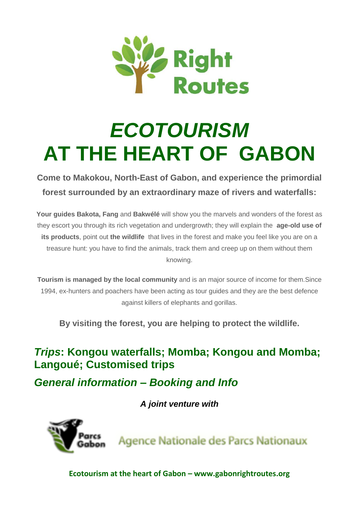

# *ECOTOURISM*  **AT THE HEART OF GABON**

**Come to Makokou, North-East of Gabon, and experience the primordial forest surrounded by an extraordinary maze of rivers and waterfalls:**

**Your guides Bakota, Fang** and **Bakwélé** will show you the marvels and wonders of the forest as they escort you through its rich vegetation and undergrowth; they will explain the **age-old use of its products**, point out **the wildlife** that lives in the forest and make you feel like you are on a treasure hunt: you have to find the animals, track them and creep up on them without them knowing.

**Tourism is managed by the local community** and is an major source of income for them.Since 1994, ex-hunters and poachers have been acting as tour guides and they are the best defence against killers of elephants and gorillas.

**By visiting the forest, you are helping to protect the wildlife.**

## *Trips***: Kongou waterfalls; Momba; Kongou and Momba; Langoué; Customised trips**

*General information – Booking and Info*

*A joint venture with*



**Agence Nationale des Parcs Nationaux**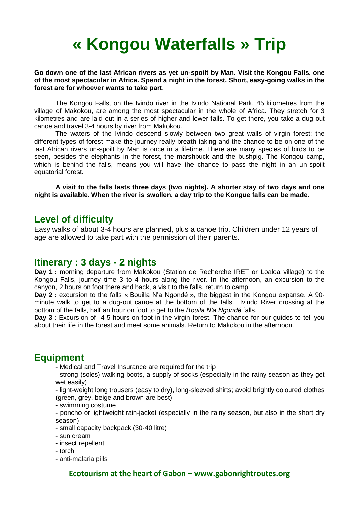# **« Kongou Waterfalls » Trip**

#### **Go down one of the last African rivers as yet un-spoilt by Man. Visit the Kongou Falls, one of the most spectacular in Africa. Spend a night in the forest. Short, easy-going walks in the forest are for whoever wants to take part**.

The Kongou Falls, on the Ivindo river in the Ivindo National Park, 45 kilometres from the village of Makokou, are among the most spectacular in the whole of Africa. They stretch for 3 kilometres and are laid out in a series of higher and lower falls. To get there, you take a dug-out canoe and travel 3-4 hours by river from Makokou.

The waters of the Ivindo descend slowly between two great walls of virgin forest: the different types of forest make the journey really breath-taking and the chance to be on one of the last African rivers un-spoilt by Man is once in a lifetime. There are many species of birds to be seen, besides the elephants in the forest, the marshbuck and the bushpig. The Kongou camp, which is behind the falls, means you will have the chance to pass the night in an un-spoilt equatorial forest.

**A visit to the falls lasts three days (two nights). A shorter stay of two days and one night is available. When the river is swollen, a day trip to the Kongue falls can be made.** 

#### **Level of difficulty**

Easy walks of about 3-4 hours are planned, plus a canoe trip. Children under 12 years of age are allowed to take part with the permission of their parents.

#### **Itinerary : 3 days - 2 nights**

**Day 1 :** morning departure from Makokou (Station de Recherche IRET or Loaloa village) to the Kongou Falls, journey time 3 to 4 hours along the river. In the afternoon, an excursion to the canyon, 2 hours on foot there and back, a visit to the falls, return to camp.

**Day 2 :** excursion to the falls « Bouilla N'a Ngondé », the biggest in the Kongou expanse. A 90 minute walk to get to a dug-out canoe at the bottom of the falls. Ivindo River crossing at the bottom of the falls, half an hour on foot to get to the *Bouila N'a Ngondé* falls.

**Day 3 :** Excursion of 4-5 hours on foot in the virgin forest. The chance for our guides to tell you about their life in the forest and meet some animals. Return to Makokou in the afternoon.

#### **Equipment**

- Medical and Travel Insurance are required for the trip
- strong (soles) walking boots, a supply of socks (especially in the rainy season as they get wet easily)

- light-weight long trousers (easy to dry), long-sleeved shirts; avoid brightly coloured clothes (green, grey, beige and brown are best)

- swimming costume

- poncho or lightweight rain-jacket (especially in the rainy season, but also in the short dry season)

- small capacity backpack (30-40 litre)

- sun cream

- insect repellent
- torch

- anti-malaria pills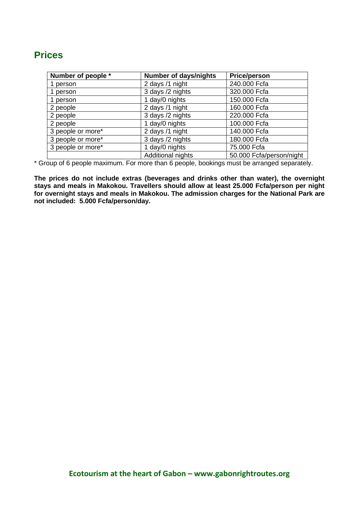## **Prices**

| Number of people * | <b>Number of days/nights</b> | <b>Price/person</b>      |
|--------------------|------------------------------|--------------------------|
| 1 person           | 2 days /1 night              | 240.000 Fcfa             |
| 1 person           | 3 days /2 nights             | 320.000 Fcfa             |
| 1 person           | 1 day/0 nights               | 150.000 Fcfa             |
| 2 people           | 2 days /1 night              | 160.000 Fcfa             |
| 2 people           | 3 days /2 nights             | 220.000 Fcfa             |
| 2 people           | 1 day/0 nights               | 100.000 Fcfa             |
| 3 people or more*  | 2 days /1 night              | 140.000 Fcfa             |
| 3 people or more*  | 3 days /2 nights             | 180.000 Fcfa             |
| 3 people or more*  | 1 day/0 nights               | 75.000 Fcfa              |
|                    | Additional nights            | 50.000 Fcfa/person/night |

\* Group of 6 people maximum. For more than 6 people, bookings must be arranged separately.

**The prices do not include extras (beverages and drinks other than water), the overnight stays and meals in Makokou. Travellers should allow at least 25.000 Fcfa/person per night for overnight stays and meals in Makokou. The admission charges for the National Park are not included: 5.000 Fcfa/person/day.**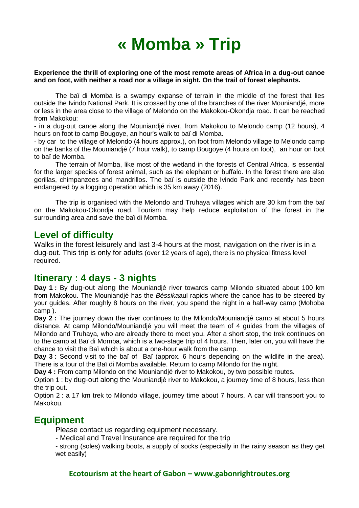# **« Momba » Trip**

#### **Experience the thrill of exploring one of the most remote areas of Africa in a dug-out canoe and on foot, with neither a road nor a village in sight. On the trail of forest elephants.**

The baï di Momba is a swampy expanse of terrain in the middle of the forest that lies outside the Ivindo National Park. It is crossed by one of the branches of the river Mouniandjé, more or less in the area close to the village of Melondo on the Makokou-Okondja road. It can be reached from Makokou:

- in a dug-out canoe along the Mouniandjé river, from Makokou to Melondo camp (12 hours), 4 hours on foot to camp Bougoye, an hour's walk to baï di Momba.

- by car to the village of Melondo (4 hours approx.), on foot from Melondo village to Melondo camp on the banks of the Mouniandjé (7 hour walk), to camp Bougoye (4 hours on foot), an hour on foot to baï de Momba.

The terrain of Momba, like most of the wetland in the forests of Central Africa, is essential for the larger species of forest animal, such as the elephant or buffalo. In the forest there are also gorillas, chimpanzees and mandrillos. The baï is outside the Ivindo Park and recently has been endangered by a logging operation which is 35 km away (2016).

The trip is organised with the Melondo and Truhaya villages which are 30 km from the baï on the Makokou-Okondja road. Tourism may help reduce exploitation of the forest in the surrounding area and save the baï di Momba.

#### **Level of difficulty**

Walks in the forest leisurely and last 3-4 hours at the most, navigation on the river is in a dug-out. This trip is only for adults (over 12 years of age), there is no physical fitness level required.

#### **Itinerary : 4 days - 3 nights**

**Day 1 :** By dug-out along the Mouniandjé river towards camp Milondo situated about 100 km from Makokou. The Mouniandjé has the *Béssika*aul rapids where the canoe has to be steered by your guides. After roughly 8 hours on the river, you spend the night in a half-way camp (Mohoba camp ).

**Day 2 :** The journey down the river continues to the Milondo/Mouniandjé camp at about 5 hours distance. At camp Milondo/Mouniandjé you will meet the team of 4 guides from the villages of Milondo and Truhaya, who are already there to meet you. After a short stop, the trek continues on to the camp at Baï di Momba, which is a two-stage trip of 4 hours. Then, later on, you will have the chance to visit the Baï which is about a one-hour walk from the camp.

**Day 3 :** Second visit to the baï of Baï (approx. 6 hours depending on the wildlife in the area). There is a tour of the Baï di Momba available. Return to camp Milondo for the night.

**Day 4 :** From camp Milondo on the Mouniandjé river to Makokou, by two possible routes.

Option 1 : by dug-out along the Mouniandjè river to Makokou, a journey time of 8 hours, less than the trip out.

Option 2 : a 17 km trek to Milondo village, journey time about 7 hours. A car will transport you to Makokou.

#### **Equipment**

Please contact us regarding equipment necessary.

- Medical and Travel Insurance are required for the trip

- strong (soles) walking boots, a supply of socks (especially in the rainy season as they get wet easily)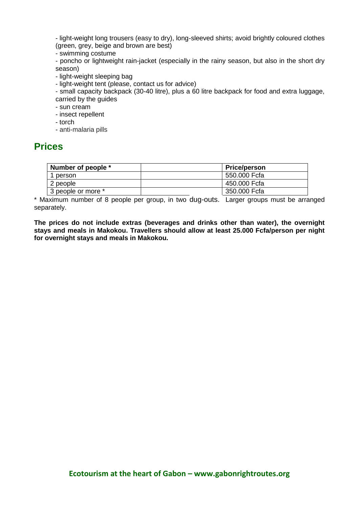- light-weight long trousers (easy to dry), long-sleeved shirts; avoid brightly coloured clothes (green, grey, beige and brown are best)

- swimming costume

- poncho or lightweight rain-jacket (especially in the rainy season, but also in the short dry season)

- light-weight sleeping bag

- light-weight tent (please, contact us for advice)

- small capacity backpack (30-40 litre), plus a 60 litre backpack for food and extra luggage, carried by the guides

- sun cream
- insect repellent
- torch
- anti-malaria pills

#### **Prices**

| Number of people * | <b>Price/person</b> |
|--------------------|---------------------|
| 1 person           | 550.000 Fcfa        |
| 2 people           | 450.000 Fcfa        |
| 3 people or more * | 350.000 Fcfa        |

\* Maximum number of 8 people per group, in two dug-outs. Larger groups must be arranged separately.

**The prices do not include extras (beverages and drinks other than water), the overnight stays and meals in Makokou. Travellers should allow at least 25.000 Fcfa/person per night for overnight stays and meals in Makokou.**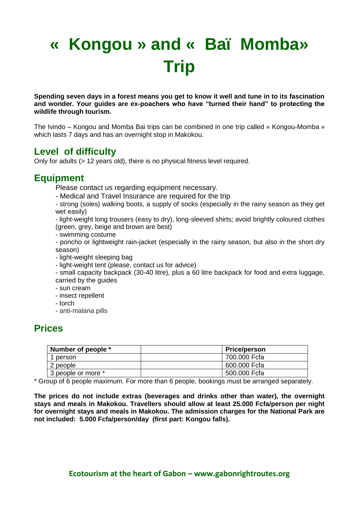# **« Kongou » and « Baï Momba» Trip**

**Spending seven days in a forest means you get to know it well and tune in to its fascination and wonder. Your guides are ex-poachers who have "turned their hand" to protecting the wildlife through tourism.** 

The Ivindo – Kongou and Momba Bai trips can be combined in one trip called « Kongou-Momba » which lasts 7 days and has an overnight stop in Makokou.

## **Level of difficulty**

Only for adults (> 12 years old), there is no physical fitness level required.

## **Equipment**

Please contact us regarding equipment necessary.

- Medical and Travel Insurance are required for the trip

- strong (soles) walking boots, a supply of socks (especially in the rainy season as they get wet easily)

- light-weight long trousers (easy to dry), long-sleeved shirts; avoid brightly coloured clothes (green, grey, beige and brown are best)

- swimming costume

- poncho or lightweight rain-jacket (especially in the rainy season, but also in the short dry season)

- light-weight sleeping bag

- light-weight tent (please, contact us for advice)

- small capacity backpack (30-40 litre), plus a 60 litre backpack for food and extra luggage, carried by the guides

- sun cream
- insect repellent
- torch
- anti-malaria pills

## **Prices**

| Number of people * | <b>Price/person</b> |
|--------------------|---------------------|
| person             | 700.000 Fcfa        |
| 2 people           | 600.000 Fcfa        |
| 3 people or more * | 500.000 Fcfa        |

\* Group of 6 people maximum. For more than 6 people, bookings must be arranged separately.

**The prices do not include extras (beverages and drinks other than water), the overnight stays and meals in Makokou. Travellers should allow at least 25.000 Fcfa/person per night for overnight stays and meals in Makokou. The admission charges for the National Park are not included: 5.000 Fcfa/person/day (first part: Kongou falls).**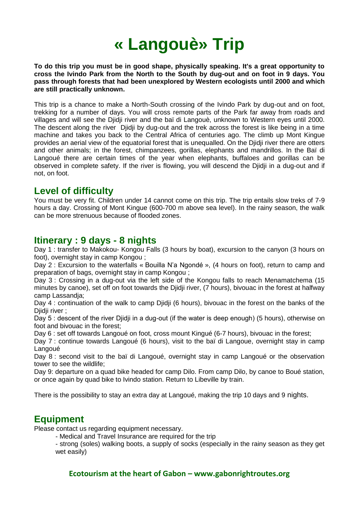# **« Langouè» Trip**

**To do this trip you must be in good shape, physically speaking. It's a great opportunity to cross the Ivindo Park from the North to the South by dug-out and on foot in 9 days. You pass through forests that had been unexplored by Western ecologists until 2000 and which are still practically unknown.** 

This trip is a chance to make a North-South crossing of the Ivindo Park by dug-out and on foot, trekking for a number of days. You will cross remote parts of the Park far away from roads and villages and will see the Djidji river and the baï di Langouè, unknown to Western eyes until 2000. The descent along the river Djidji by dug-out and the trek across the forest is like being in a time machine and takes you back to the Central Africa of centuries ago. The climb up Mont Kingue provides an aerial view of the equatorial forest that is unequalled. On the Djidji river there are otters and other animals; in the forest, chimpanzees, gorillas, elephants and mandrillos. In the Baï di Langoué there are certain times of the year when elephants, buffaloes and gorillas can be observed in complete safety. If the river is flowing, you will descend the Djidji in a dug-out and if not, on foot.

#### **Level of difficulty**

You must be very fit. Children under 14 cannot come on this trip. The trip entails slow treks of 7-9 hours a day. Crossing of Mont Kingue (600-700 m above sea level). In the rainy season, the walk can be more strenuous because of flooded zones.

#### **Itinerary : 9 days - 8 nights**

Day 1 : transfer to Makokou- Kongou Falls (3 hours by boat), excursion to the canyon (3 hours on foot), overnight stay in camp Kongou ;

Day 2 : Excursion to the waterfalls « Bouilla N'a Ngondé », (4 hours on foot), return to camp and preparation of bags, overnight stay in camp Kongou ;

Day 3 : Crossing in a dug-out via the left side of the Kongou falls to reach Menamatchema (15 minutes by canoe), set off on foot towards the Djidji river, (7 hours), bivouac in the forest at halfway camp Lassandja;

Day 4 : continuation of the walk to camp Djidji (6 hours), bivouac in the forest on the banks of the Djidji river ;

Day 5 : descent of the river Diidii in a dug-out (if the water is deep enough) (5 hours), otherwise on foot and bivouac in the forest;

Day 6 : set off towards Langoué on foot, cross mount Kingué (6-7 hours), bivouac in the forest;

Day 7 : continue towards Langoué (6 hours), visit to the baï di Langoue, overnight stay in camp Langoué

Day 8 : second visit to the baï di Langoué, overnight stay in camp Langoué or the observation tower to see the wildlife;

Day 9: departure on a quad bike headed for camp Dilo. From camp Dilo, by canoe to Boué station, or once again by quad bike to Ivindo station. Return to Libeville by train.

There is the possibility to stay an extra day at Langoué, making the trip 10 days and 9 nights.

## **Equipment**

Please contact us regarding equipment necessary.

- Medical and Travel Insurance are required for the trip

- strong (soles) walking boots, a supply of socks (especially in the rainy season as they get wet easily)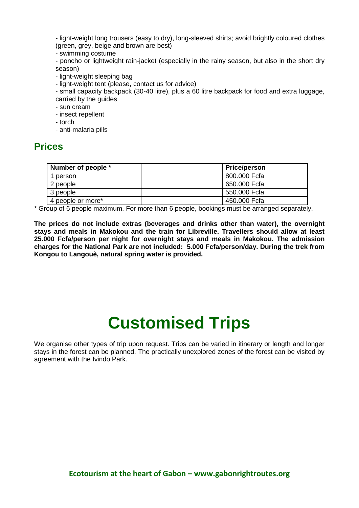- light-weight long trousers (easy to dry), long-sleeved shirts; avoid brightly coloured clothes (green, grey, beige and brown are best)

- swimming costume

- poncho or lightweight rain-jacket (especially in the rainy season, but also in the short dry season)

- light-weight sleeping bag

- light-weight tent (please, contact us for advice)

- small capacity backpack (30-40 litre), plus a 60 litre backpack for food and extra luggage, carried by the guides

- sun cream
- insect repellent
- torch
- anti-malaria pills

#### **Prices**

| Number of people * | <b>Price/person</b> |
|--------------------|---------------------|
| person             | 800.000 Fcfa        |
| 2 people           | 650.000 Fcfa        |
| 3 people           | 550.000 Fcfa        |
| 4 people or more*  | 450.000 Fcfa        |

\* Group of 6 people maximum. For more than 6 people, bookings must be arranged separately.

**The prices do not include extras (beverages and drinks other than water), the overnight stays and meals in Makokou and the train for Libreville. Travellers should allow at least 25.000 Fcfa/person per night for overnight stays and meals in Makokou. The admission charges for the National Park are not included: 5.000 Fcfa/person/day. During the trek from Kongou to Langouè, natural spring water is provided.** 

# **Customised Trips**

We organise other types of trip upon request. Trips can be varied in itinerary or length and longer stays in the forest can be planned. The practically unexplored zones of the forest can be visited by agreement with the Ivindo Park.